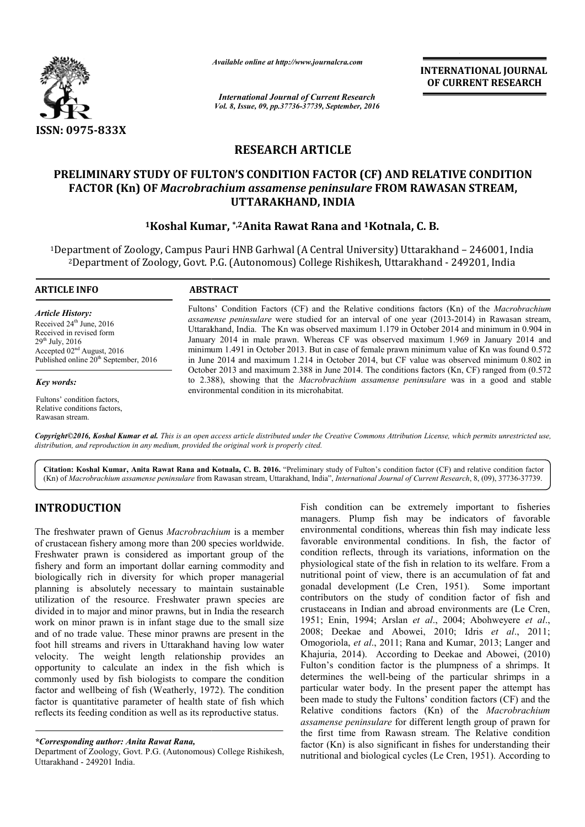

*Available online at http://www.journalcra.com*

*International Journal of Current Research Vol. 8, Issue, 09, pp.37736-37739, September, 2016* INTERNATIONAL JOURNAL OF CURRENT RESEARCH

# RESEARCH ARTICLE

# PRELIMINARY STUDY OF FULTON'S CONDITION FACTOR (CF) AND RELATIVE CONDITION FACTOR (Kn) OF *Macrobrachium assamense peninsulare* FROM RAWASAN STREAM, UTTARAKHAND, INDIA

### <sup>1</sup>Koshal Kumar, \*,<sup>2</sup>Anita Rawat Rana and <sup>1</sup>Kotnala, C. B.

1Department of Zoology, Campus Pauri HNB Garhwal (A Central University) Uttarakhand – 246001, India 2Department of Zoology, Govt. P.G. (Autonomous) College Rishikesh, Uttarakhand Department Govt. P.G. (Autonomous) Rishikesh, Uttarakhand - 249201, India

| <b>ABSTRACT</b>                                                                                                                                                                                                                                                                                                                                                                                                                                                                                                                                                                                        |
|--------------------------------------------------------------------------------------------------------------------------------------------------------------------------------------------------------------------------------------------------------------------------------------------------------------------------------------------------------------------------------------------------------------------------------------------------------------------------------------------------------------------------------------------------------------------------------------------------------|
| Fultons' Condition Factors (CF) and the Relative conditions factors (Kn) of the <i>Macrobrachium</i><br><i>assamense peninsulare</i> were studied for an interval of one year (2013-2014) in Rawasan stream,<br>Uttarakhand, India. The Kn was observed maximum 1.179 in October 2014 and minimum in 0.904 in<br>January 2014 in male prawn. Whereas CF was observed maximum 1.969 in January 2014 and<br>minimum 1.491 in October 2013. But in case of female prawn minimum value of Kn was found 0.572<br>in June 2014 and maximum 1.214 in October 2014, but CF value was observed minimum 0.802 in |
| October 2013 and maximum 2.388 in June 2014. The conditions factors (Kn, CF) ranged from (0.572<br>to 2.388), showing that the <i>Macrobrachium assamense peninsulare</i> was in a good and stable<br>environmental condition in its microhabitat.                                                                                                                                                                                                                                                                                                                                                     |
|                                                                                                                                                                                                                                                                                                                                                                                                                                                                                                                                                                                                        |

Fultons' condition factors, Relative conditions factors, Rawasan stream.

Copyright©2016, Koshal Kumar et al. This is an open access article distributed under the Creative Commons Attribution License, which permits unrestricted use, *distribution, and reproduction in any medium, provided the original work is properly cited.*

Citation: Koshal Kumar, Anita Rawat Rana and Kotnala, C. B. 2016. "Preliminary study of Fulton's condition factor (CF) and relative condition factor Citation: Koshal Kumar, Anita Rawat Rana and Kotnala, C. B. 2016. "Preliminary study of Fulton's condition factor (CF) and relative condition facto<br>(Kn) of *Macrobrachium assamense peninsulare* from Rawasan stream, Uttarak

### INTRODUCTION

The freshwater prawn of Genus *Macrobrachium* is a member of crustacean fishery among more than 200 species worldwide. Freshwater prawn is considered as important group of the fishery and form an important dollar earning commodity and biologically rich in diversity for which proper managerial planning is absolutely necessary to maintain sustainable utilization of the resource. Freshwater prawn species are divided in to major and minor prawns, but in India the research work on minor prawn is in infant stage due to the small size and of no trade value. These minor prawns are present in the foot hill streams and rivers in Uttarakhand having low water velocity. The weight length relationship provides an opportunity to calculate an index in the fish which is commonly used by fish biologists to compare the condition factor and wellbeing of fish (Weatherly, 1972). The condition factor is quantitative parameter of health state of fish which reflects its feeding condition as well as its reproductive status. g is absolutely necessary to maintain sustainable<br>on of the resource. Freshwater prawn species are<br>in to major and minor prawns, but in India the research<br>n minor prawn is in infant stage due to the small size<br>no trade val

*\*Corresponding author: Anita Rawat Rana,*

Department of Zoology, Govt. P.G. (Autonomous) College Rishikesh, Uttarakhand - 249201 India.

Fish condition can be extremely important to fisheries managers. Plump fish may be indicators of favorable environmental conditions, whereas thin fish may indicate less favorable environmental conditions. In fish, the factor of condition reflects, through its variations, information on the physiological state of the fish in relation to its welfare. From a nutritional point of view, there is an accumulation of fat and gonadal development (Le Cren, 1951). Some important contributors on the study of condition factor of fish and crustaceans in Indian and abroad environments are (Le Cren, 1951; Enin, 1994; Arslan *et al al*., 2004; Abohweyere *et al*., 2008; Deekae and Abowei, 2010; Idris 2008; Deekae *et al*., 2011; Omogoriola, *et al*., 2011; Rana and Kumar, 2013; Langer and Khajuria, 2014). According to Deekae and Abowei, (2010) Fulton's condition factor is the plumpness of a shrimps. It determines the well-being of the particular shrimps in a particular water body. In the present paper the attempt has been made to study the Fultons' condition factors (CF) and the Relative conditions factors (Kn) of the *Macrobrachium assamense peninsulare* for different length group of prawn for the first time from Rawasn stream. The Relative condition factor (Kn) is also significant in fishes for understanding their nutritional and biological cycles (Le Cren, 1951). According to ition can be extremely important to f<br>Plump fish may be indicators of fa<br>tal conditions, whereas thin fish may indic<br>environmental conditions. In fish, the fa<br>eflects, through its variations, information<br>cal state of the f iola, *et al.*, 2011; Rana and Kumar, 2013; Langer and<br>, 2014). According to Deekae and Abowei, (2010)<br>condition factor is the plumpness of a shrimps. It<br>les the well-being of the particular shrimps in a<br>r water body. In INTERNATIONAL JOURNAL OF CURRENT RESEARCH<br>
CONCERN TRESEARCH<br>
CONCERN TRESEARCH<br>
CONCERN TRESEARCH<br>
CONCERN TRESEARCH<br>
CONCERN TRESEARCH<br>
CONCERN TRESEARCH<br>
CONCERN TRESEARCH<br>
CONCERN TRESEARCH<br>
CONCERN INTERNATION INTERN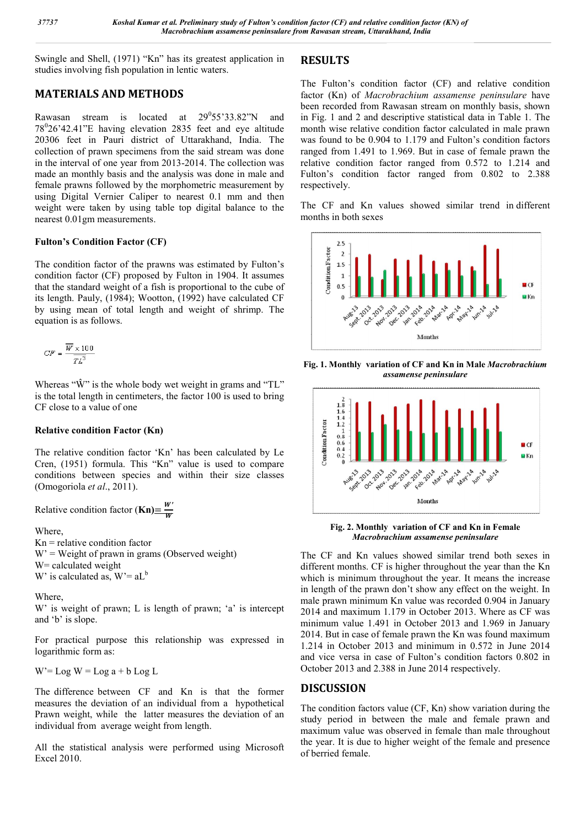Swingle and Shell, (1971) "Kn" has its greatest application in studies involving fish population in lentic waters.

# MATERIALS AND METHODS

Rawasan stream is located at  $29^055'33.82''N$  and  $78^{\circ}26'42.41''$ E having elevation 2835 feet and eye altitude 20306 feet in Pauri district of Uttarakhand, India. The collection of prawn specimens from the said stream was done in the interval of one year from 2013-2014. The collection was made an monthly basis and the analysis was done in male and female prawns followed by the morphometric measurement by using Digital Vernier Caliper to nearest 0.1 mm and then weight were taken by using table top digital balance to the nearest 0.01gm measurements.

### Fulton's Condition Factor (CF)

The condition factor of the prawns was estimated by Fulton's condition factor (CF) proposed by Fulton in 1904. It assumes that the standard weight of a fish is proportional to the cube of its length. Pauly, (1984); Wootton, (1992) have calculated CF by using mean of total length and weight of shrimp. The equation is as follows.

$$
C F = \frac{\overline{W} \times 100}{TL^3}
$$

Whereas " $\hat{W}$ " is the whole body wet weight in grams and "TL" is the total length in centimeters, the factor 100 is used to bring CF close to a value of one

### Relative condition Factor (Kn)

The relative condition factor 'Kn' has been calculated by Le Cren, (1951) formula. This "Kn" value is used to compare conditions between species and within their size classes (Omogoriola *et al*., 2011).

Relative condition factor  $(Kn) = \frac{w}{w}$ 

Where,

 $Kn =$  relative condition factor  $W' =$  Weight of prawn in grams (Observed weight) W= calculated weight W' is calculated as,  $W = aL<sup>b</sup>$ 

Where,

W' is weight of prawn; L is length of prawn; 'a' is intercept and 'b' is slope.

For practical purpose this relationship was expressed in logarithmic form as:

 $W' = Log W = Log a + b Log L$ 

The difference between CF and Kn is that the former measures the deviation of an individual from a hypothetical Prawn weight, while the latter measures the deviation of an individual from average weight from length.

All the statistical analysis were performed using Microsoft Excel 2010.

## RESULTS

The Fulton's condition factor (CF) and relative condition factor (Kn) of *Macrobrachium assamense peninsulare* have been recorded from Rawasan stream on monthly basis, shown in Fig. 1 and 2 and descriptive statistical data in Table 1. The month wise relative condition factor calculated in male prawn was found to be 0.904 to 1.179 and Fulton's condition factors ranged from 1.491 to 1.969. But in case of female prawn the relative condition factor ranged from 0.572 to 1.214 and Fulton's condition factor ranged from 0.802 to 2.388 respectively.

The CF and Kn values showed similar trend in different months in both sexes



Fig. 1. Monthly variation of CF and Kn in Male *Macrobrachium assamense peninsulare*



Fig. 2. Monthly variation of CF and Kn in Female *Macrobrachium assamense peninsulare*

The CF and Kn values showed similar trend both sexes in different months. CF is higher throughout the year than the Kn which is minimum throughout the year. It means the increase in length of the prawn don't show any effect on the weight. In male prawn minimum Kn value was recorded 0.904 in January 2014 and maximum 1.179 in October 2013. Where as CF was minimum value 1.491 in October 2013 and 1.969 in January 2014. But in case of female prawn the Kn was found maximum 1.214 in October 2013 and minimum in 0.572 in June 2014 and vice versa in case of Fulton's condition factors 0.802 in October 2013 and 2.388 in June 2014 respectively.

### DISCUSSION

The condition factors value (CF, Kn) show variation during the study period in between the male and female prawn and maximum value was observed in female than male throughout the year. It is due to higher weight of the female and presence of berried female.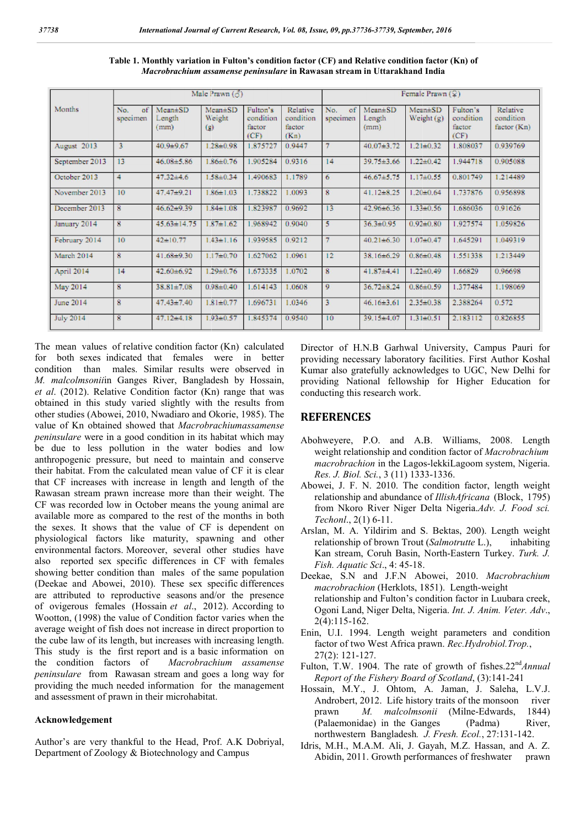| Months           | Male Prawn $(5)$      |                                 |                                |                                         | Female Prawn $(2)$                      |                       |                               |                         |                                         |                                      |
|------------------|-----------------------|---------------------------------|--------------------------------|-----------------------------------------|-----------------------------------------|-----------------------|-------------------------------|-------------------------|-----------------------------------------|--------------------------------------|
|                  | No.<br>of<br>specimen | $Mean \pm SD$<br>Length<br>(mm) | $Mean \pm SD$<br>Weight<br>(9) | Fulton's<br>condition<br>factor<br>(CF) | Relative<br>condition<br>factor<br>(Kn) | No.<br>of<br>specimen | $Mean + SD$<br>Length<br>(mm) | Mean#SD<br>Weight $(g)$ | Fulton's<br>condition<br>factor<br>(CF) | Relative<br>condition<br>factor (Kn) |
| August 2013      | 3                     | 40.9±9.67                       | 1.28±0.98                      | 1.875727                                | 0.9447                                  | 7                     | $40.07 + 3.72$                | $1.21 \pm 0.32$         | 1.808037                                | 0.939769                             |
| September 2013   | 13                    | 46.08±5.86                      | 1.86±0.76                      | 1.905284                                | 0.9316                                  | 14                    | $39.75 \pm 3.66$              | $1.22 \pm 0.42$         | 1.944718                                | 0.905088                             |
| October 2013     | 4                     | $47.32 \pm 4.6$                 | $1.58 \pm 0.34$                | 1.490683                                | 1.1789                                  | 6                     | 46.67±5.75                    | $1.17 + 0.55$           | 0.801749                                | 1.214489                             |
| November 2013    | 10                    | $47.47 + 9.21$                  | $1.86 \pm 1.03$                | 1.738822                                | 1.0093                                  | $\overline{8}$        | $41.12 \pm 8.25$              | $1.20 \pm 0.64$         | 1.737876                                | 0.956898                             |
| December 2013    | 8                     | $46.62 + 9.39$                  | $1.84 \pm 1.08$                | 1.823987                                | 0.9692                                  | 13                    | 42.96±6.36                    | $1.33 \pm 0.56$         | 1.686036                                | 0.91626                              |
| January 2014     | 8                     | $45.63 \pm 14.75$               | $1.87 \pm 1.62$                | 1.968942                                | 0.9040                                  | 5                     | $36.3{\pm}0.95$               | $0.92 \pm 0.80$         | 1.927574                                | 1.059826                             |
| February 2014    | 10                    | $42 + 1077$                     | $1.43 \pm 1.16$                | 1.939585                                | 0.9212                                  | $\overline{7}$        | $40.21 \pm 6.30$              | $1.07 + 0.47$           | 1.645291                                | 1.049319                             |
| March 2014       | 8                     | $41.68 + 9.30$                  | $1.17 \pm 0.70$                | 1.627062                                | 1.0961                                  | 12                    | 38.16±6.29                    | $0.86 + 0.48$           | 1.551338                                | 1.213449                             |
| April 2014       | 14                    | 42.60±6.92                      | 1.29±0.76                      | 1.673335                                | 1.0702                                  | 8                     | $41.87 + 4.41$                | $1.22 \pm 0.49$         | 1.66829                                 | 0.96698                              |
| May 2014         | 8                     | $38.81 \pm 7.08$                | $0.98 + 0.40$                  | 1.614143                                | 1.0608                                  | 9                     | $36.72 \pm 8.24$              | $0.86 + 0.59$           | 1.377484                                | 1.198069                             |
| <b>June 2014</b> | 8                     | $47.43 \pm 7.40$                | $1.81 \pm 0.77$                | 1.696731                                | 1.0346                                  | 3                     | $46.16 \pm 3.61$              | $2.35 \pm 0.38$         | 2.388264                                | 0.572                                |
| <b>July 2014</b> | 8                     | $47.12 \pm 4.18$                | $1.93 \pm 0.57$                | 1.845374                                | 0.9540                                  | 10                    | $39.15 \pm 4.07$              | $131 + 051$             | 2.183112                                | 0.826855                             |

Table 1. Monthly variation in Fulton's condition factor (CF) and Relative condition factor (Kn) of *Macrobrachium assamense peninsulare*  in Rawasan stream in Uttarakhand India

The mean values of relative condition factor (Kn (Kn) calculated for both sexes indicated that females were in better condition than males. Similar results were observed in *M. malcolmsonii*in Ganges River, Bangladesh by Hossain, *et al*. (2012). Relative Condition factor (Kn) range that was obtained in this study varied slightly with the results from other studies (Abowei, 2010, Nwadiaro and Okorie, 1985). The value of Kn obtained showed that *Macrobrachiumassamense peninsulare* were in a good condition in its habitat which may be due to less pollution in the water bodies and low anthropogenic pressure, but need to maintain and conserve their habitat. From the calculated mean value of CF it is clear that CF increases with increase in length Rawasan stream prawn increase more than their weight. The CF was recorded low in October means the young animal are available more as compared to the rest of the months in both the sexes. It shows that the value of CF is dependent on physiological factors like maturity, spawning and other environmental factors. Moreover, several other studies have also reported sex specific differences in CF with females showing better condition than males of the same population (Deekae and Abowei, 2010). These sex specific differences are attributed to reproductive seasons and/or the presence of ovigerous females (Hossain *et al*., 2012). According to Wootton, (1998) the value of Condition factor varies when the average weight of fish does not increase in direct proportion to the cube law of its length, but increases with increasing length. This study is the first report and is a basic information on the condition factors of *Macrobrachium assamense* the condition factors of *Macrobrachium assamense peninsulare* from Rawasan stream and goes a long way for providing the much needed information for the management and assessment of prawn in their microhabitat. ood condition in its habitat which may<br>tion in the water bodies and low<br>, but need to maintain and conserve<br>calculated mean value of CF it is clear<br>increase in length and length of the mean values of relative condition factor (Kh) calculated Director of H.N.B Garhwal condition than males. Similar results were on better providing necessary laboratorition than males. Similar results were observed in Kumar

#### Acknowledgement

Author's are very thankful to the Head, Prof. A.K Dobriyal, Department of Zoology & Biotechnology and Campus

providing necessary laboratory facilities. First Author Koshal providing necessary laboratory facilities. First Author Koshal Kumar also gratefully acknowledges to UGC, New Delhi for providing National fellowship for Higher Education for conducting this research work. Director of H.N.B Garhwal University, Campus Pauri for

#### **REFERENCES**

- Abohweyere, P.O. and A.B. Williams, 2008. Length weight relationship and condition factor of *Macrobrachium* weight relationship and condition factor of Macrobrachium *macrobrachion* in the Lagos Lagos-lekkiLagoom system, Nigeria. *Res. J. Biol. Sci.*, 3 (11) 1333 1333-1336.
- Abowei, J. F. N. 2010. The condition factor, length weight relationship and abundance of *IllishAfricana* (Block, 1795) from Nkoro River Niger Delta Nigeria. Nigeria.*Adv. J. Food sci. Techonl*., 2(1) 6-11.
- Arslan, M. A. Yildirim and S. Bektas, 200). Length weight relationship of brown Trout (Salmotrutte L.), inhabiting Kan stream, Coruh Basin, North Basin, North-Eastern Turkey. *Turk. J. Fish. Aquatic Sci*., 4: 45-18. Fish. Aquatic Sci., 4: 45-18.<br>Deekae, S.N and J.F.N Abowei, 2010. *Macrobrachium*
- *macrobrachion* (Herklots, 1851). 1851). Length-weight relationship and Fulton's condition factor in Luubara creek, Ogoni Land, Niger Delta, Nigeria. *Int. J. Anim. Veter. Adv*., 2(4):115-162.
- Enin, U.I. 1994. Length weight parameters and condition factor of two West Africa prawn. *Rec.Hydrobiol.Trop.*, 27(2): 121-127.
- Fulton, T.W. 1904. The rate of growth of fishes.22<sup>nd</sup>Annual *Report of the Fishery Board of of Scotland*, (3):141-241
- Hossain, M.Y., J. Ohtom, A. Jaman, J. Saleha, L.V.J.<br>Androbert, 2012. Life history traits of the monsoon river Androbert, 2012. Life history traits of the prawn *M. malcolmsonii* (Milne-Edwards, 1844) (Palaemonidae) in the Ganges (Padma) River, northwestern Bangladesh. J. Fresh. Ecol., 27:131-142. (Padma)
- Idris, M.H., M.A.M. Ali, J. Gayah, M.Z. Hassan, and A. Z. Abidin, 2011. Growth performances of freshwater prawn Abidin, 2011. Growth performances of freshwater